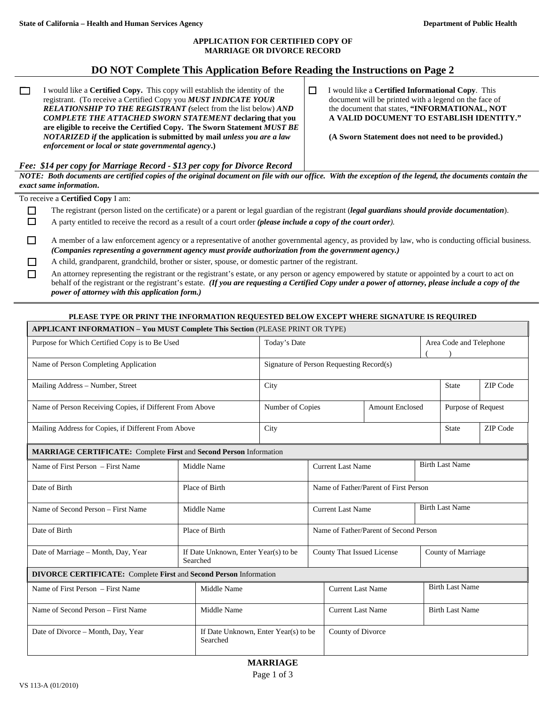#### **APPLICATION FOR CERTIFIED COPY OF MARRIAGE OR DIVORCE RECORD**

# **DO NOT Complete This Application Before Reading the Instructions on Page 2**

 I would like a **Certified Copy.** This copy will establish the identity of the registrant. (To receive a Certified Copy you *MUST INDICATE YOUR RELATIONSHIP TO THE REGISTRANT (*select from the list below) *AND COMPLETE THE ATTACHED SWORN STATEMENT* **declaring that you are eligible to receive the Certified Copy. The Sworn Statement** *MUST BE NOTARIZED if* **the application is submitted by mail** *unless you are a law enforcement or local or state governmental agency***.)** 

 I would like a **Certified Informational Copy**. This document will be printed with a legend on the face of the document that states, **"INFORMATIONAL, NOT A VALID DOCUMENT TO ESTABLISH IDENTITY."** 

 **(A Sworn Statement does not need to be provided.)** 

#### *Fee: \$14 per copy for Marriage Record - \$13 per copy for Divorce Record*

*NOTE: Both documents are certified copies of the original document on file with our office. With the exception of the legend, the documents contain the exact same information***.** 

To receive a **Certified Copy** I am:

- The registrant (person listed on the certificate) or a parent or legal guardian of the registrant (*legal guardians should provide documentation*).
- A party entitled to receive the record as a result of a court order *(please include a copy of the court order).*
- A member of a law enforcement agency or a representative of another governmental agency, as provided by law, who is conducting official business. *(Companies representing a government agency must provide authorization from the government agency.)*
- A child, grandparent, grandchild, brother or sister, spouse, or domestic partner of the registrant.

 An attorney representing the registrant or the registrant's estate, or any person or agency empowered by statute or appointed by a court to act on behalf of the registrant or the registrant's estate. *(If you are requesting a Certified Copy under a power of attorney, please include a copy of the power of attorney with this application form.)*

#### **PLEASE TYPE OR PRINT THE INFORMATION REQUESTED BELOW EXCEPT WHERE SIGNATURE IS REQUIRED**

| <b>APPLICANT INFORMATION - You MUST Complete This Section (PLEASE PRINT OR TYPE)</b> |  |                                                  |                                            |                            |                                        |                    |                         |                        |  |  |
|--------------------------------------------------------------------------------------|--|--------------------------------------------------|--------------------------------------------|----------------------------|----------------------------------------|--------------------|-------------------------|------------------------|--|--|
| Purpose for Which Certified Copy is to Be Used                                       |  |                                                  | Today's Date                               |                            |                                        |                    | Area Code and Telephone |                        |  |  |
| Name of Person Completing Application                                                |  |                                                  | Signature of Person Requesting Record(s)   |                            |                                        |                    |                         |                        |  |  |
| Mailing Address - Number, Street                                                     |  |                                                  | City                                       |                            |                                        |                    | <b>State</b>            | ZIP Code               |  |  |
| Name of Person Receiving Copies, if Different From Above                             |  |                                                  | Number of Copies<br><b>Amount Enclosed</b> |                            |                                        | Purpose of Request |                         |                        |  |  |
| Mailing Address for Copies, if Different From Above                                  |  |                                                  | City                                       |                            |                                        |                    | State                   | ZIP Code               |  |  |
| <b>MARRIAGE CERTIFICATE:</b> Complete First and Second Person Information            |  |                                                  |                                            |                            |                                        |                    |                         |                        |  |  |
| Name of First Person – First Name                                                    |  | Middle Name                                      |                                            |                            | <b>Current Last Name</b>               |                    |                         | <b>Birth Last Name</b> |  |  |
| Date of Birth                                                                        |  | Place of Birth                                   |                                            |                            | Name of Father/Parent of First Person  |                    |                         |                        |  |  |
| Name of Second Person - First Name                                                   |  | Middle Name                                      |                                            |                            | <b>Current Last Name</b>               |                    |                         | <b>Birth Last Name</b> |  |  |
| Date of Birth                                                                        |  | Place of Birth                                   |                                            |                            | Name of Father/Parent of Second Person |                    |                         |                        |  |  |
| Date of Marriage - Month, Day, Year                                                  |  | If Date Unknown, Enter Year(s) to be<br>Searched |                                            | County That Issued License |                                        |                    | County of Marriage      |                        |  |  |
| <b>DIVORCE CERTIFICATE:</b> Complete First and Second Person Information             |  |                                                  |                                            |                            |                                        |                    |                         |                        |  |  |
| Name of First Person – First Name                                                    |  | Middle Name                                      |                                            |                            | <b>Current Last Name</b>               |                    |                         | <b>Birth Last Name</b> |  |  |
| Name of Second Person - First Name<br>Middle Name                                    |  |                                                  |                                            |                            | <b>Current Last Name</b>               |                    |                         | <b>Birth Last Name</b> |  |  |
| Date of Divorce - Month, Day, Year                                                   |  | If Date Unknown, Enter Year(s) to be<br>Searched |                                            |                            | County of Divorce                      |                    |                         |                        |  |  |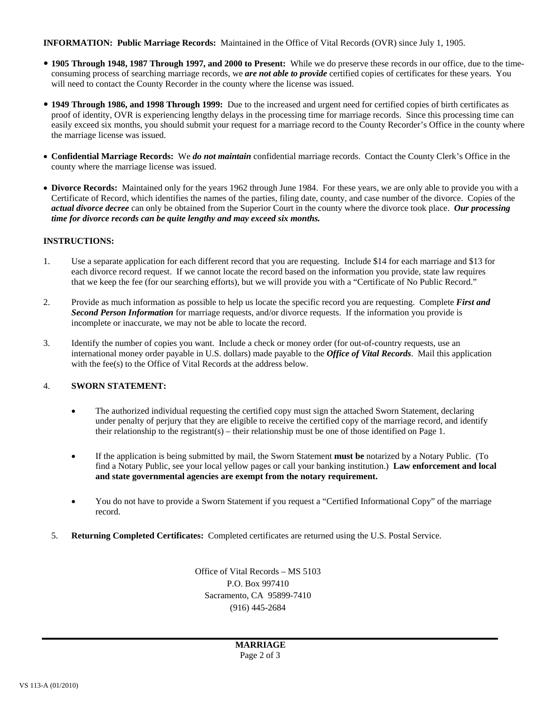**INFORMATION: Public Marriage Records:** Maintained in the Office of Vital Records (OVR) since July 1, 1905.

- y **1905 Through 1948, 1987 Through 1997, and 2000 to Present:** While we do preserve these records in our office, due to the timeconsuming process of searching marriage records, we *are not able to provide* certified copies of certificates for these years. You will need to contact the County Recorder in the county where the license was issued.
- y **1949 Through 1986, and 1998 Through 1999:** Due to the increased and urgent need for certified copies of birth certificates as proof of identity, OVR is experiencing lengthy delays in the processing time for marriage records. Since this processing time can easily exceed six months, you should submit your request for a marriage record to the County Recorder's Office in the county where the marriage license was issued.
- **Confidential Marriage Records:** We *do not maintain* confidential marriage records. Contact the County Clerk's Office in the county where the marriage license was issued.
- **Divorce Records:** Maintained only for the years 1962 through June 1984. For these years, we are only able to provide you with a Certificate of Record, which identifies the names of the parties, filing date, county, and case number of the divorce. Copies of the *actual divorce decree* can only be obtained from the Superior Court in the county where the divorce took place. *Our processing time for divorce records can be quite lengthy and may exceed six months.*

### **INSTRUCTIONS:**

- 1. Use a separate application for each different record that you are requesting. Include \$14 for each marriage and \$13 for each divorce record request. If we cannot locate the record based on the information you provide, state law requires that we keep the fee (for our searching efforts), but we will provide you with a "Certificate of No Public Record."
- 2. Provide as much information as possible to help us locate the specific record you are requesting. Complete *First and Second Person Information* for marriage requests, and/or divorce requests. If the information you provide is incomplete or inaccurate, we may not be able to locate the record.
- 3. Identify the number of copies you want. Include a check or money order (for out-of-country requests, use an international money order payable in U.S. dollars) made payable to the *Office of Vital Records*. Mail this application with the fee(s) to the Office of Vital Records at the address below.

## 4. **SWORN STATEMENT:**

- The authorized individual requesting the certified copy must sign the attached Sworn Statement, declaring under penalty of perjury that they are eligible to receive the certified copy of the marriage record, and identify their relationship to the registrant(s) – their relationship must be one of those identified on Page 1.
- If the application is being submitted by mail, the Sworn Statement **must be** notarized by a Notary Public. (To find a Notary Public, see your local yellow pages or call your banking institution.) **Law enforcement and local and state governmental agencies are exempt from the notary requirement.**
- You do not have to provide a Sworn Statement if you request a "Certified Informational Copy" of the marriage record.
- 5. **Returning Completed Certificates:** Completed certificates are returned using the U.S. Postal Service.

Office of Vital Records – MS 5103 P.O. Box 997410 Sacramento, CA 95899-7410 (916) 445-2684

> **MARRIAGE** Page 2 of 3